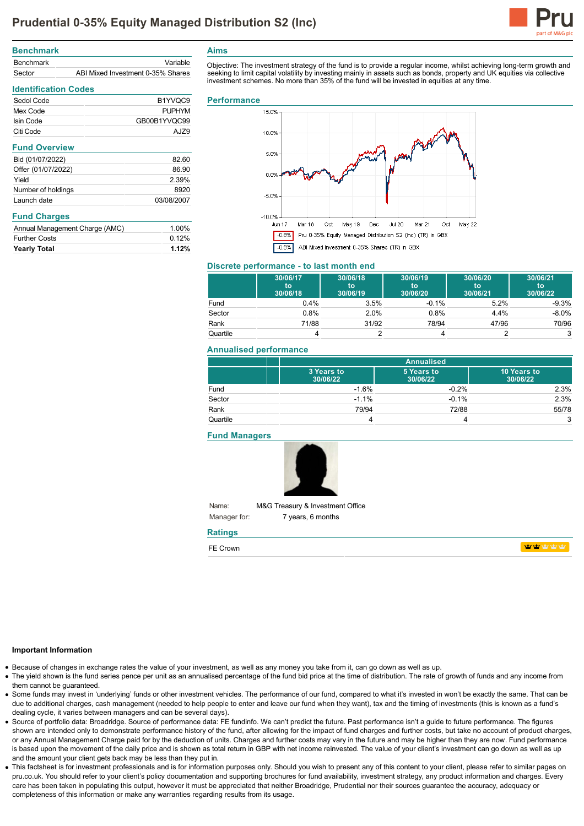

| <b>Benchmark</b> |                                   |
|------------------|-----------------------------------|
| <b>Benchmark</b> | Variable                          |
| Sector           | ABI Mixed Investment 0-35% Shares |

# **Identification Codes** Sedol Code B1YVQC9 Mex Code PUPHYM Isin Code GB00B1YVQC99 Citi Code AJZ9 **Fund Overview**

| Bid (01/07/2022)   | 82.60      |
|--------------------|------------|
| Offer (01/07/2022) | 86.90      |
| Yield              | 2.39%      |
| Number of holdings | 8920       |
| Launch date        | 03/08/2007 |

| <b>Fund Charges</b> |
|---------------------|
|---------------------|

| 0.12% |
|-------|
| 1.00% |
|       |

**Aims**

Objective: The investment strategy of the fund is to provide a regular income, whilst achieving long-term growth and seeking to limit capital volatility by investing mainly in assets such as bonds, property and UK equities via collective investment schemes. No more than 35% of the fund will be invested in equities at any time.

### **Performance**



#### **Discrete performance - to last month end**

|          | 30/06/17<br>to<br>30/06/18 | 30/06/18<br>to<br>30/06/19 | 30/06/19<br>to<br>30/06/20 | 30/06/20<br>to<br>30/06/21 | 30/06/21<br>to<br>30/06/22 |
|----------|----------------------------|----------------------------|----------------------------|----------------------------|----------------------------|
| Fund     | $0.4\%$                    | 3.5%                       | $-0.1%$                    | 5.2%                       | $-9.3%$                    |
| Sector   | 0.8%                       | 2.0%                       | 0.8%                       | 4.4%                       | $-8.0\%$                   |
| Rank     | 71/88                      | 31/92                      | 78/94                      | 47/96                      | 70/96                      |
| Quartile |                            |                            |                            |                            |                            |

## **Annualised performance**

|          | <b>Annualised</b>      |                        |                         |
|----------|------------------------|------------------------|-------------------------|
|          | 3 Years to<br>30/06/22 | 5 Years to<br>30/06/22 | 10 Years to<br>30/06/22 |
| Fund     | $-1.6%$                | $-0.2%$                | 2.3%                    |
| Sector   | $-1.1%$                | $-0.1%$                | 2.3%                    |
| Rank     | 79/94                  | 72/88                  | 55/78                   |
| Quartile |                        |                        | 3                       |

**Fund Managers**



Name: Manager for: M&G Treasury & Investment Office 7 years, 6 months

# **Ratings**

| --<br>. |  |  |
|---------|--|--|
|         |  |  |

### **Important Information**

- Because of changes in exchange rates the value of your investment, as well as any money you take from it, can go down as well as up.
- The yield shown is the fund series pence per unit as an annualised percentage of the fund bid price at the time of distribution. The rate of growth of funds and any income from them cannot be guaranteed.
- Some funds may invest in 'underlying' funds or other investment vehicles. The performance of our fund, compared to what it's invested in won't be exactly the same. That can be due to additional charges, cash management (needed to help people to enter and leave our fund when they want), tax and the timing of investments (this is known as a fund's dealing cycle, it varies between managers and can be several days).
- Source of portfolio data: Broadridge. Source of performance data: FE fundinfo. We can't predict the future. Past performance isn't a guide to future performance. The figures shown are intended only to demonstrate performance history of the fund, after allowing for the impact of fund charges and further costs, but take no account of product charges, or any Annual Management Charge paid for by the deduction of units. Charges and further costs may vary in the future and may be higher than they are now. Fund performance is based upon the movement of the daily price and is shown as total return in GBP with net income reinvested. The value of your client's investment can go down as well as up and the amount your client gets back may be less than they put in.
- This factsheet is for investment professionals and is for information purposes only. Should you wish to present any of this content to your client, please refer to similar pages on pru.co.uk. You should refer to your client's policy documentation and supporting brochures for fund availability, investment strategy, any product information and charges. Every care has been taken in populating this output, however it must be appreciated that neither Broadridge. Prudential nor their sources guarantee the accuracy, adequacy or completeness of this information or make any warranties regarding results from its usage.